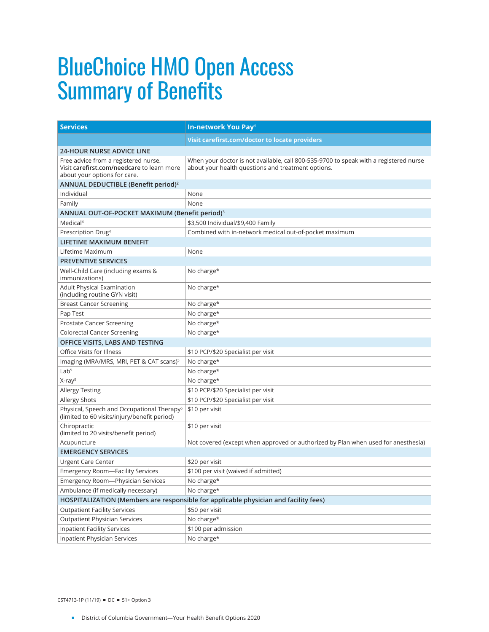## BlueChoice HMO Open Access Summary of Benefits

| <b>Services</b>                                                                                                    | In-network You Pay <sup>1</sup>                                                                                                             |
|--------------------------------------------------------------------------------------------------------------------|---------------------------------------------------------------------------------------------------------------------------------------------|
|                                                                                                                    | Visit carefirst.com/doctor to locate providers                                                                                              |
| <b>24-HOUR NURSE ADVICE LINE</b>                                                                                   |                                                                                                                                             |
| Free advice from a registered nurse.<br>Visit carefirst.com/needcare to learn more<br>about your options for care. | When your doctor is not available, call 800-535-9700 to speak with a registered nurse<br>about your health questions and treatment options. |
| ANNUAL DEDUCTIBLE (Benefit period) <sup>2</sup>                                                                    |                                                                                                                                             |
| Individual                                                                                                         | None                                                                                                                                        |
| Family                                                                                                             | None                                                                                                                                        |
| ANNUAL OUT-OF-POCKET MAXIMUM (Benefit period) <sup>3</sup>                                                         |                                                                                                                                             |
| Medical <sup>4</sup>                                                                                               | \$3,500 Individual/\$9,400 Family                                                                                                           |
| Prescription Drug <sup>4</sup>                                                                                     | Combined with in-network medical out-of-pocket maximum                                                                                      |
| LIFETIME MAXIMUM BENEFIT                                                                                           |                                                                                                                                             |
| Lifetime Maximum                                                                                                   | None                                                                                                                                        |
| <b>PREVENTIVE SERVICES</b>                                                                                         |                                                                                                                                             |
| Well-Child Care (including exams &<br><i>immunizations)</i>                                                        | No charge*                                                                                                                                  |
| <b>Adult Physical Examination</b><br>(including routine GYN visit)                                                 | No charge*                                                                                                                                  |
| <b>Breast Cancer Screening</b>                                                                                     | No charge*                                                                                                                                  |
| Pap Test                                                                                                           | No charge*                                                                                                                                  |
| Prostate Cancer Screening                                                                                          | No charge*                                                                                                                                  |
| <b>Colorectal Cancer Screening</b>                                                                                 | No charge*                                                                                                                                  |
| OFFICE VISITS, LABS AND TESTING                                                                                    |                                                                                                                                             |
| Office Visits for Illness                                                                                          | \$10 PCP/\$20 Specialist per visit                                                                                                          |
| Imaging (MRA/MRS, MRI, PET & CAT scans) <sup>5</sup>                                                               | No charge*                                                                                                                                  |
| Lab <sup>5</sup>                                                                                                   | No charge*                                                                                                                                  |
| $X-ray5$                                                                                                           | No charge*                                                                                                                                  |
| <b>Allergy Testing</b>                                                                                             | \$10 PCP/\$20 Specialist per visit                                                                                                          |
| <b>Allergy Shots</b>                                                                                               | \$10 PCP/\$20 Specialist per visit                                                                                                          |
| Physical, Speech and Occupational Therapy <sup>6</sup><br>(limited to 60 visits/injury/benefit period)             | \$10 per visit                                                                                                                              |
| Chiropractic<br>(limited to 20 visits/benefit period)                                                              | \$10 per visit                                                                                                                              |
| Acupuncture                                                                                                        | Not covered (except when approved or authorized by Plan when used for anesthesia)                                                           |
| <b>EMERGENCY SERVICES</b>                                                                                          |                                                                                                                                             |
| <b>Urgent Care Center</b>                                                                                          | \$20 per visit                                                                                                                              |
| <b>Emergency Room-Facility Services</b>                                                                            | \$100 per visit (waived if admitted)                                                                                                        |
| Emergency Room-Physician Services                                                                                  | No charge*                                                                                                                                  |
| Ambulance (if medically necessary)                                                                                 | No charge*                                                                                                                                  |
| HOSPITALIZATION (Members are responsible for applicable physician and facility fees)                               |                                                                                                                                             |
| <b>Outpatient Facility Services</b>                                                                                | \$50 per visit                                                                                                                              |
| <b>Outpatient Physician Services</b>                                                                               | No charge*                                                                                                                                  |
| <b>Inpatient Facility Services</b>                                                                                 | \$100 per admission                                                                                                                         |
| Inpatient Physician Services                                                                                       | No charge*                                                                                                                                  |